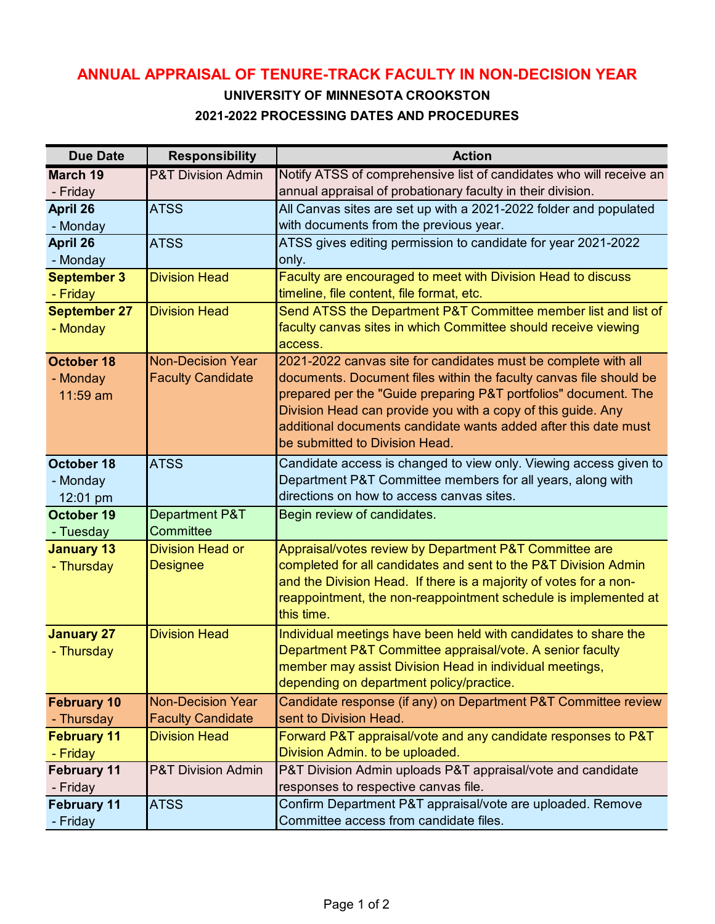## **ANNUAL APPRAISAL OF TENURE-TRACK FACULTY IN NON-DECISION YEAR**

## **UNIVERSITY OF MINNESOTA CROOKSTON 2021-2022 PROCESSING DATES AND PROCEDURES**

| <b>Due Date</b>        | <b>Responsibility</b>                                | <b>Action</b>                                                                                                                        |
|------------------------|------------------------------------------------------|--------------------------------------------------------------------------------------------------------------------------------------|
| <b>March 19</b>        | <b>P&amp;T Division Admin</b>                        | Notify ATSS of comprehensive list of candidates who will receive an                                                                  |
| - Friday               |                                                      | annual appraisal of probationary faculty in their division.                                                                          |
| <b>April 26</b>        | <b>ATSS</b>                                          | All Canvas sites are set up with a 2021-2022 folder and populated                                                                    |
| - Monday               |                                                      | with documents from the previous year.                                                                                               |
| April 26               | <b>ATSS</b>                                          | ATSS gives editing permission to candidate for year 2021-2022                                                                        |
| - Monday               |                                                      | only.                                                                                                                                |
| <b>September 3</b>     | <b>Division Head</b>                                 | Faculty are encouraged to meet with Division Head to discuss                                                                         |
| - Friday               |                                                      | timeline, file content, file format, etc.                                                                                            |
| <b>September 27</b>    | <b>Division Head</b>                                 | Send ATSS the Department P&T Committee member list and list of                                                                       |
| - Monday               |                                                      | faculty canvas sites in which Committee should receive viewing                                                                       |
|                        |                                                      | access.                                                                                                                              |
| October 18<br>- Monday | <b>Non-Decision Year</b><br><b>Faculty Candidate</b> | 2021-2022 canvas site for candidates must be complete with all<br>documents. Document files within the faculty canvas file should be |
| 11:59 am               |                                                      | prepared per the "Guide preparing P&T portfolios" document. The                                                                      |
|                        |                                                      | Division Head can provide you with a copy of this guide. Any                                                                         |
|                        |                                                      | additional documents candidate wants added after this date must                                                                      |
|                        |                                                      | be submitted to Division Head.                                                                                                       |
| <b>October 18</b>      | <b>ATSS</b>                                          | Candidate access is changed to view only. Viewing access given to                                                                    |
| - Monday               |                                                      | Department P&T Committee members for all years, along with                                                                           |
| 12:01 pm               |                                                      | directions on how to access canvas sites.                                                                                            |
| October 19             | Department P&T                                       | Begin review of candidates.                                                                                                          |
| - Tuesday              | Committee                                            |                                                                                                                                      |
| <b>January 13</b>      | <b>Division Head or</b>                              | Appraisal/votes review by Department P&T Committee are                                                                               |
| - Thursday             | <b>Designee</b>                                      | completed for all candidates and sent to the P&T Division Admin                                                                      |
|                        |                                                      | and the Division Head. If there is a majority of votes for a non-                                                                    |
|                        |                                                      | reappointment, the non-reappointment schedule is implemented at                                                                      |
|                        |                                                      | this time.                                                                                                                           |
| <b>January 27</b>      | <b>Division Head</b>                                 | Individual meetings have been held with candidates to share the                                                                      |
| - Thursday             |                                                      | Department P&T Committee appraisal/vote. A senior faculty                                                                            |
|                        |                                                      | member may assist Division Head in individual meetings,<br>depending on department policy/practice.                                  |
| <b>February 10</b>     | <b>Non-Decision Year</b>                             |                                                                                                                                      |
| - Thursday             | <b>Faculty Candidate</b>                             | Candidate response (if any) on Department P&T Committee review<br>sent to Division Head.                                             |
| <b>February 11</b>     | <b>Division Head</b>                                 | Forward P&T appraisal/vote and any candidate responses to P&T                                                                        |
| - Friday               |                                                      | Division Admin. to be uploaded.                                                                                                      |
| <b>February 11</b>     | <b>P&amp;T Division Admin</b>                        | P&T Division Admin uploads P&T appraisal/vote and candidate                                                                          |
| - Friday               |                                                      | responses to respective canvas file.                                                                                                 |
| <b>February 11</b>     | <b>ATSS</b>                                          | Confirm Department P&T appraisal/vote are uploaded. Remove                                                                           |
| - Friday               |                                                      | Committee access from candidate files.                                                                                               |